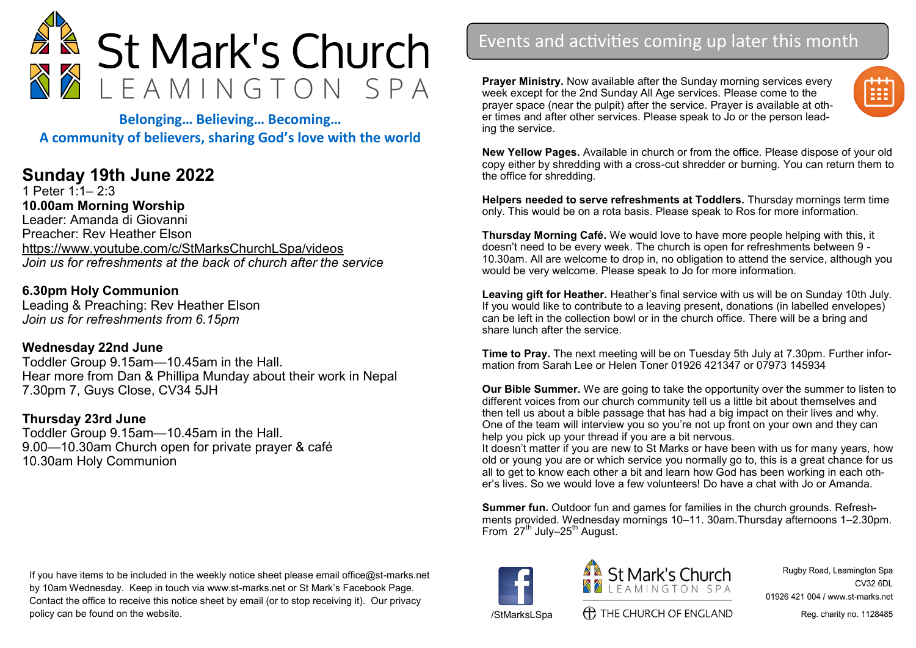

**Belonging… Believing… Becoming… A community of believers, sharing God's love with the world**

# **Sunday 19th June 2022**

1 Peter 1:1– 2:3 **10.00am Morning Worship**  Leader: Amanda di Giovanni Preacher: Rev Heather Elson <https://www.youtube.com/c/StMarksChurchLSpa/videos> *Join us for refreshments at the back of church after the service*

## **6.30pm Holy Communion**

Leading & Preaching: Rev Heather Elson *Join us for refreshments from 6.15pm*

### **Wednesday 22nd June**

Toddler Group 9.15am—10.45am in the Hall. Hear more from Dan & Phillipa Munday about their work in Nepal 7.30pm 7, Guys Close, CV34 5JH

### **Thursday 23rd June**

Toddler Group 9.15am—10.45am in the Hall. 9.00—10.30am Church open for private prayer & café 10.30am Holy Communion

If you have items to be included in the weekly notice sheet please email office@st-marks.net by 10am Wednesday. Keep in touch via www.st-marks.net or St Mark's Facebook Page. Contact the office to receive this notice sheet by email (or to stop receiving it). Our privacy policy can be found on the website.

# Events and activities coming up later this month

**Prayer Ministry.** Now available after the Sunday morning services every week except for the 2nd Sunday All Age services. Please come to the prayer space (near the pulpit) after the service. Prayer is available at other times and after other services. Please speak to Jo or the person leading the service.

**New Yellow Pages.** Available in church or from the office. Please dispose of your old copy either by shredding with a cross-cut shredder or burning. You can return them to the office for shredding.

**Helpers needed to serve refreshments at Toddlers.** Thursday mornings term time only. This would be on a rota basis. Please speak to Ros for more information.

**Thursday Morning Café.** We would love to have more people helping with this, it doesn't need to be every week. The church is open for refreshments between 9 - 10.30am. All are welcome to drop in, no obligation to attend the service, although you would be very welcome. Please speak to Jo for more information.

**Leaving gift for Heather.** Heather's final service with us will be on Sunday 10th July. If you would like to contribute to a leaving present, donations (in labelled envelopes) can be left in the collection bowl or in the church office. There will be a bring and share lunch after the service.

**Time to Pray.** The next meeting will be on Tuesday 5th July at 7.30pm. Further information from Sarah Lee or Helen Toner 01926 421347 or 07973 145934

**Our Bible Summer.** We are going to take the opportunity over the summer to listen to different voices from our church community tell us a little bit about themselves and then tell us about a bible passage that has had a big impact on their lives and why. One of the team will interview you so you're not up front on your own and they can help you pick up your thread if you are a bit nervous.

It doesn't matter if you are new to St Marks or have been with us for many years, how old or young you are or which service you normally go to, this is a great chance for us all to get to know each other a bit and learn how God has been working in each other's lives. So we would love a few volunteers! Do have a chat with Jo or Amanda.

**Summer fun.** Outdoor fun and games for families in the church grounds. Refreshments provided. Wednesday mornings 10–11. 30am.Thursday afternoons 1–2.30pm. From  $27^{th}$  July–25<sup>th</sup> August.





Rugby Road, Leamington Spa **CV32 6DL** 01926 421 004 / www.st-marks.net Reg. charity no. 1128485

**(H)** THE CHURCH OF ENGLAND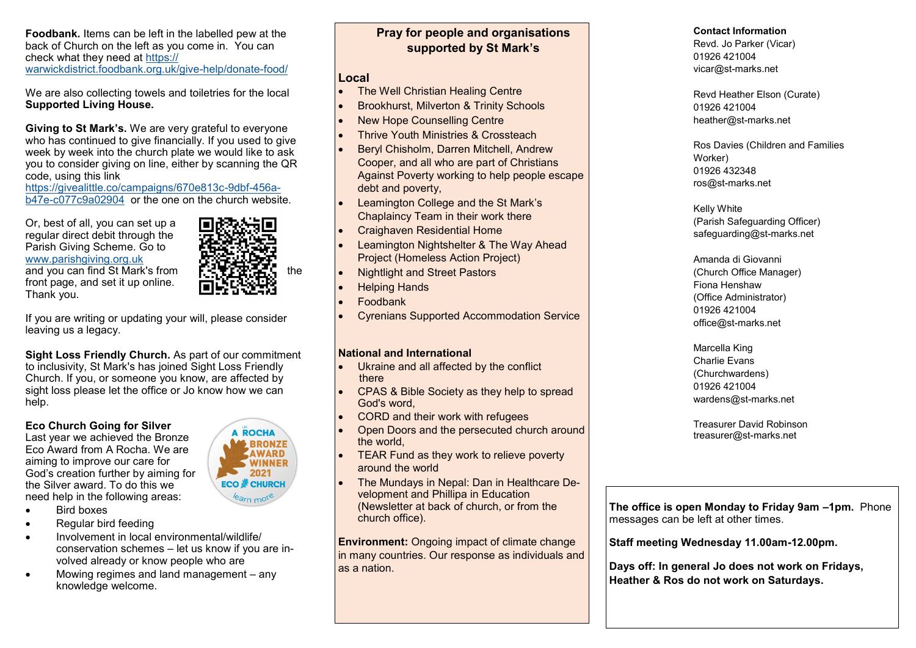**Foodbank.** Items can be left in the labelled pew at the back of Church on the left as you come in. You can check what they need at [https://](https://warwickdistrict.foodbank.org.uk/give-help/donate-food/) [warwickdistrict.foodbank.org.uk/give](https://warwickdistrict.foodbank.org.uk/give-help/donate-food/)-help/donate-food/

We are also collecting towels and toiletries for the local **Supported Living House.**

**Giving to St Mark's.** We are very grateful to everyone who has continued to give financially. If you used to give week by week into the church plate we would like to ask you to consider giving on line, either by scanning the QR code, using this link

[https://givealittle.co/campaigns/670e813c](https://givealittle.co/campaigns/670e813c-9dbf-456a-b47e-c077c9a02904)-9dbf-456ab47e-[c077c9a02904](https://givealittle.co/campaigns/670e813c-9dbf-456a-b47e-c077c9a02904) or the one on the church website.

Or, best of all, you can set up a regular direct debit through the Parish Giving Scheme. Go to [www.parishgiving.org.uk](http://www.parishgiving.org.uk) and you can find St Mark's from  $\mathbf{F} = \mathbf{F} \cdot \mathbf{F} \cdot \mathbf{F} \cdot \mathbf{F} \cdot \mathbf{F}$  the front page, and set it up online. Thank you.



If you are writing or updating your will, please consider leaving us a legacy.

**Sight Loss Friendly Church.** As part of our commitment to inclusivity, St Mark's has joined Sight Loss Friendly Church. If you, or someone you know, are affected by sight loss please let the office or Jo know how we can help.

### **Eco Church Going for Silver**

Last year we achieved the Bronze Eco Award from A Rocha. We are aiming to improve our care for God's creation further by aiming for the Silver award. To do this we need help in the following areas:

- Bird boxes
- Regular bird feeding
- Involvement in local environmental/wildlife/ conservation schemes – let us know if you are involved already or know people who are
- Mowing regimes and land management any knowledge welcome.

### **Pray for people and organisations supported by St Mark's**

### **Local**

- **The Well Christian Healing Centre**
- Brookhurst, Milverton & Trinity Schools
- **New Hope Counselling Centre**
- Thrive Youth Ministries & Crossteach
- Beryl Chisholm, Darren Mitchell, Andrew Cooper, and all who are part of Christians Against Poverty working to help people escape debt and poverty,
- Leamington College and the St Mark's Chaplaincy Team in their work there
- Craighaven Residential Home
- Leamington Nightshelter & The Way Ahead Project (Homeless Action Project)
- Nightlight and Street Pastors
- Helping Hands
- Foodbank
- Cyrenians Supported Accommodation Service

### **National and International**

- Ukraine and all affected by the conflict there
- CPAS & Bible Society as they help to spread God's word,
- CORD and their work with refugees
- Open Doors and the persecuted church around the world,
- TEAR Fund as they work to relieve poverty around the world
- The Mundays in Nepal: Dan in Healthcare Development and Phillipa in Education (Newsletter at back of church, or from the church office).

**Environment:** Ongoing impact of climate change in many countries. Our response as individuals and as a nation.

### **Contact Information**

Revd. Jo Parker (Vicar) 01926 421004 vicar@st-marks.net

Revd Heather Elson (Curate) 01926 421004 heather@st-marks.net

Ros Davies (Children and Families Worker) 01926 432348 ros@st-marks.net

Kelly White (Parish Safeguarding Officer) safeguarding@st-marks.net

Amanda di Giovanni (Church Office Manager) Fiona Henshaw (Office Administrator) 01926 421004 office@st-marks.net

Marcella King Charlie Evans (Churchwardens) 01926 421004 wardens@st-marks.net

Treasurer David Robinson treasurer@st-marks.net

**The office is open Monday to Friday 9am –1pm.** Phone messages can be left at other times.

**Staff meeting Wednesday 11.00am-12.00pm.** 

**Days off: In general Jo does not work on Fridays, Heather & Ros do not work on Saturdays.**